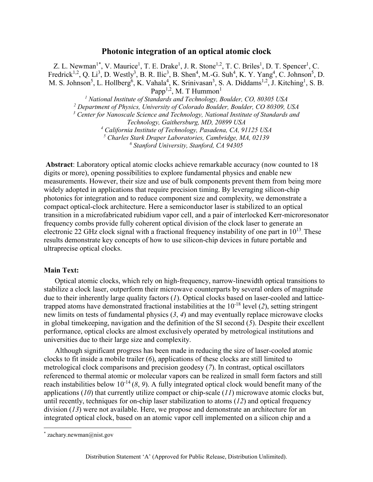# **Photonic integration of an optical atomic clock**

Z. L. Newman<sup>1\*</sup>, V. Maurice<sup>1</sup>, T. E. Drake<sup>1</sup>, J. R. Stone<sup>1,2</sup>, T. C. Briles<sup>1</sup>, D. T. Spencer<sup>1</sup>, C. Fredrick<sup>1,2</sup>, Q. Li<sup>3</sup>, D. Westly<sup>3</sup>, B. R. Ilic<sup>3</sup>, B. Shen<sup>4</sup>, M.-G. Suh<sup>4</sup>, K. Y. Yang<sup>4</sup>, C. Johnson<sup>5</sup>, D. M. S. Johnson<sup>5</sup>, L. Hollberg<sup>6</sup>, K. Vahala<sup>4</sup>, K. Srinivasan<sup>3</sup>, S. A. Diddams<sup>1,2</sup>, J. Kitching<sup>1</sup>, S. B. Papp<sup>1,2</sup>, M. T Hummon<sup>1</sup> *<sup>1</sup> National Institute of Standards and Technology, Boulder, CO, 80305 USA*

*<sup>2</sup> Department of Physics, University of Colorado Boulder, Boulder, CO 80309, USA*

*<sup>3</sup> Center for Nanoscale Science and Technology, National Institute of Standards and*

*Technology, Gaithersburg, MD, 20899 USA*

*<sup>4</sup> California Institute of Technology, Pasadena, CA, 91125 USA*

*<sup>5</sup> Charles Stark Draper Laboratories, Cambridge, MA, 02139*

*<sup>6</sup> Stanford University, Stanford, CA 94305*

**Abstract**: Laboratory optical atomic clocks achieve remarkable accuracy (now counted to 18 digits or more), opening possibilities to explore fundamental physics and enable new measurements. However, their size and use of bulk components prevent them from being more widely adopted in applications that require precision timing. By leveraging silicon-chip photonics for integration and to reduce component size and complexity, we demonstrate a compact optical-clock architecture. Here a semiconductor laser is stabilized to an optical transition in a microfabricated rubidium vapor cell, and a pair of interlocked Kerr-microresonator frequency combs provide fully coherent optical division of the clock laser to generate an electronic 22 GHz clock signal with a fractional frequency instability of one part in  $10^{13}$ . These results demonstrate key concepts of how to use silicon-chip devices in future portable and ultraprecise optical clocks.

#### **Main Text:**

Optical atomic clocks, which rely on high-frequency, narrow-linewidth optical transitions to stabilize a clock laser, outperform their microwave counterparts by several orders of magnitude due to their inherently large quality factors (*1*). Optical clocks based on laser-cooled and latticetrapped atoms have demonstrated fractional instabilities at the 10-18 level (*2*), setting stringent new limits on tests of fundamental physics (*3*, *4*) and may eventually replace microwave clocks in global timekeeping, navigation and the definition of the SI second (*5*). Despite their excellent performance, optical clocks are almost exclusively operated by metrological institutions and universities due to their large size and complexity.

Although significant progress has been made in reducing the size of laser-cooled atomic clocks to fit inside a mobile trailer (*6*), applications of these clocks are still limited to metrological clock comparisons and precision geodesy (*7*). In contrast, optical oscillators referenced to thermal atomic or molecular vapors can be realized in small form factors and still reach instabilities below 10-14 (*8*, *9*). A fully integrated optical clock would benefit many of the applications (*10*) that currently utilize compact or chip-scale (*11*) microwave atomic clocks but, until recently, techniques for on-chip laser stabilization to atoms (*12*) and optical frequency division (*13*) were not available. Here, we propose and demonstrate an architecture for an integrated optical clock, based on an atomic vapor cell implemented on a silicon chip and a

**.** 

<sup>\*</sup> zachary.newman@nist.gov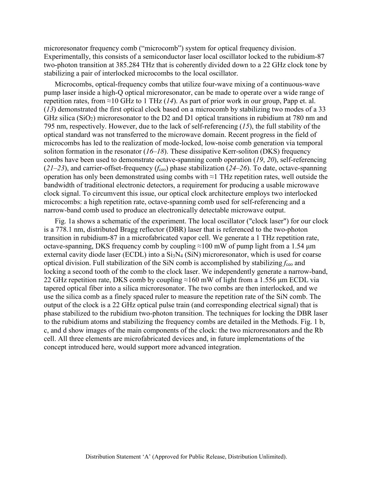microresonator frequency comb ("microcomb") system for optical frequency division. Experimentally, this consists of a semiconductor laser local oscillator locked to the rubidium-87 two-photon transition at 385.284 THz that is coherently divided down to a 22 GHz clock tone by stabilizing a pair of interlocked microcombs to the local oscillator.

Microcombs, optical-frequency combs that utilize four-wave mixing of a continuous-wave pump laser inside a high-Q optical microresonator, can be made to operate over a wide range of repetition rates, from  $\approx$ 10 GHz to 1 THz (*14*). As part of prior work in our group, Papp et. al. (*13*) demonstrated the first optical clock based on a microcomb by stabilizing two modes of a 33 GHz silica ( $SiO<sub>2</sub>$ ) microresonator to the D2 and D1 optical transitions in rubidium at 780 nm and 795 nm, respectively. However, due to the lack of self-referencing (*15*), the full stability of the optical standard was not transferred to the microwave domain. Recent progress in the field of microcombs has led to the realization of mode-locked, low-noise comb generation via temporal soliton formation in the resonator (*16*–*18*). These dissipative Kerr-soliton (DKS) frequency combs have been used to demonstrate octave-spanning comb operation (*19*, *20*), self-referencing  $(21–23)$ , and carrier-offset-frequency ( $f_{ceo}$ ) phase stabilization ( $24–26$ ). To date, octave-spanning operation has only been demonstrated using combs with ≈1 THz repetition rates, well outside the bandwidth of traditional electronic detectors, a requirement for producing a usable microwave clock signal. To circumvent this issue, our optical clock architecture employs two interlocked microcombs: a high repetition rate, octave-spanning comb used for self-referencing and a narrow-band comb used to produce an electronically detectable microwave output.

Fig. 1a shows a schematic of the experiment. The local oscillator ("clock laser") for our clock is a 778.1 nm, distributed Bragg reflector (DBR) laser that is referenced to the two-photon transition in rubidium-87 in a microfabricated vapor cell. We generate a 1 THz repetition rate, octave-spanning, DKS frequency comb by coupling  $\approx$ 100 mW of pump light from a 1.54  $\mu$ m external cavity diode laser (ECDL) into a  $Si<sub>3</sub>N<sub>4</sub>$  (SiN) microresonator, which is used for coarse optical division. Full stabilization of the SiN comb is accomplished by stabilizing *f*ceo and locking a second tooth of the comb to the clock laser. We independently generate a narrow-band, 22 GHz repetition rate, DKS comb by coupling  $\approx$ 160 mW of light from a 1.556 µm ECDL via tapered optical fiber into a silica microresonator. The two combs are then interlocked, and we use the silica comb as a finely spaced ruler to measure the repetition rate of the SiN comb. The output of the clock is a 22 GHz optical pulse train (and corresponding electrical signal) that is phase stabilized to the rubidium two-photon transition. The techniques for locking the DBR laser to the rubidium atoms and stabilizing the frequency combs are detailed in the Methods. Fig. 1 b, c, and d show images of the main components of the clock: the two microresonators and the Rb cell. All three elements are microfabricated devices and, in future implementations of the concept introduced here, would support more advanced integration.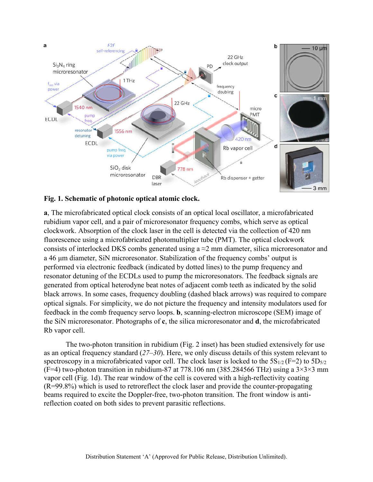



**a**, The microfabricated optical clock consists of an optical local oscillator, a microfabricated rubidium vapor cell, and a pair of microresonator frequency combs, which serve as optical clockwork. Absorption of the clock laser in the cell is detected via the collection of 420 nm fluorescence using a microfabricated photomultiplier tube (PMT). The optical clockwork consists of interlocked DKS combs generated using  $a \approx 2$  mm diameter, silica microresonator and a 46 μm diameter, SiN microresonator. Stabilization of the frequency combs' output is performed via electronic feedback (indicated by dotted lines) to the pump frequency and resonator detuning of the ECDLs used to pump the microresonators. The feedback signals are generated from optical heterodyne beat notes of adjacent comb teeth as indicated by the solid black arrows. In some cases, frequency doubling (dashed black arrows) was required to compare optical signals. For simplicity, we do not picture the frequency and intensity modulators used for feedback in the comb frequency servo loops. **b**, scanning-electron microscope (SEM) image of the SiN microresonator. Photographs of **c**, the silica microresonator and **d**, the microfabricated Rb vapor cell.

The two-photon transition in rubidium (Fig. 2 inset) has been studied extensively for use as an optical frequency standard (*27*–*30*). Here, we only discuss details of this system relevant to spectroscopy in a microfabricated vapor cell. The clock laser is locked to the  $5S_{1/2}$  (F=2) to  $5D_{5/2}$ (F=4) two-photon transition in rubidium-87 at 778.106 nm (385.284566 THz) using a  $3\times3\times3$  mm vapor cell (Fig. 1d). The rear window of the cell is covered with a high-reflectivity coating (R=99.8%) which is used to retroreflect the clock laser and provide the counter-propagating beams required to excite the Doppler-free, two-photon transition. The front window is antireflection coated on both sides to prevent parasitic reflections.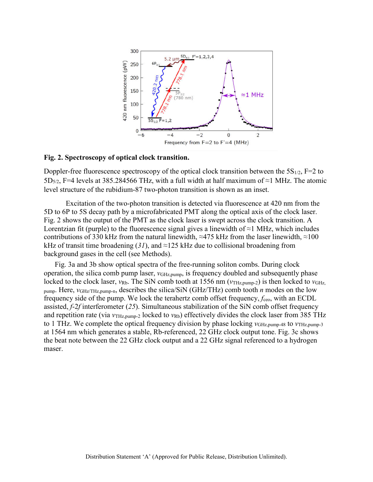

# **Fig. 2. Spectroscopy of optical clock transition.**

Doppler-free fluorescence spectroscopy of the optical clock transition between the  $5S_{1/2}$ , F=2 to 5D<sub>5/2</sub>, F=4 levels at 385.284566 THz, with a full width at half maximum of ≈1 MHz. The atomic level structure of the rubidium-87 two-photon transition is shown as an inset.

Excitation of the two-photon transition is detected via fluorescence at 420 nm from the 5D to 6P to 5S decay path by a microfabricated PMT along the optical axis of the clock laser. Fig. 2 shows the output of the PMT as the clock laser is swept across the clock transition. A Lorentzian fit (purple) to the fluorescence signal gives a linewidth of  $\approx$ 1 MHz, which includes contributions of 330 kHz from the natural linewidth,  $\approx$ 475 kHz from the laser linewidth,  $\approx$ 100 kHz of transit time broadening  $(31)$ , and ≈125 kHz due to collisional broadening from background gases in the cell (see Methods).

Fig. 3a and 3b show optical spectra of the free-running soliton combs. During clock operation, the silica comb pump laser,  $v_{\text{GHz,pump}}$ , is frequency doubled and subsequently phase locked to the clock laser, *ν*<sub>Rb</sub>. The SiN comb tooth at 1556 nm (*ν*<sub>THz,pump-2</sub>) is then locked to *ν*<sub>GHz</sub>, pump. Here, *ν*GHz/THz,pump-n, describes the silica/SiN (GHz/THz) comb tooth *n* modes on the low frequency side of the pump. We lock the terahertz comb offset frequency, *f*<sub>ceo</sub>, with an ECDL assisted, *f*-2*f* interferometer (*25*). Simultaneous stabilization of the SiN comb offset frequency and repetition rate (via  $v_{\text{THz,}pump-2}$  locked to  $v_{\text{Rb}}$ ) effectively divides the clock laser from 385 THz to 1 THz. We complete the optical frequency division by phase locking *ν*GHz,pump-48 to *ν*THz,pump-3 at 1564 nm which generates a stable, Rb-referenced, 22 GHz clock output tone. Fig. 3c shows the beat note between the 22 GHz clock output and a 22 GHz signal referenced to a hydrogen maser.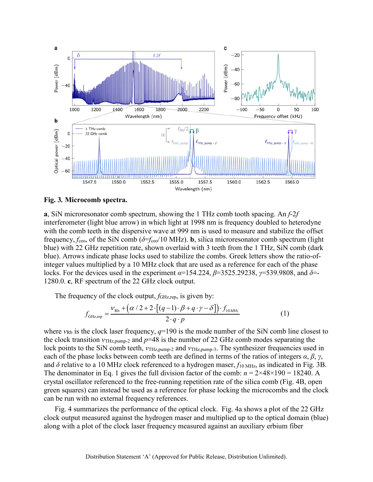

**Fig. 3***.* **Microcomb spectra.** 

**a**, SiN microresonator comb spectrum, showing the 1 THz comb tooth spacing. An *f*-2*f* interferometer (light blue arrow) in which light at 1998 nm is frequency doubled to heterodyne with the comb teeth in the dispersive wave at 999 nm is used to measure and stabilize the offset frequency, *f*ceo, of the SiN comb (*δ*=*f*ceo/10 MHz). **b**, silica microresonator comb spectrum (light blue) with 22 GHz repetition rate, shown overlaid with 3 teeth from the 1 THz, SiN comb (dark blue). Arrows indicate phase locks used to stabilize the combs. Greek letters show the ratio-ofinteger values multiplied by a 10 MHz clock that are used as a reference for each of the phase locks. For the devices used in the experiment *α*=154.224, *β*=3525.29238, *γ*=539.9808, and *δ*=- 1280.0. **c**, RF spectrum of the 22 GHz clock output.

The frequency of the clock output, *f*<sub>GHz,rep</sub>, is given by:

$$
f_{\text{GHZ,rep}} = \frac{\nu_{\text{Rb}} + (\alpha/2 + 2 \cdot [(q-1) \cdot \beta + q \cdot \gamma - \delta]) \cdot f_{10 \text{MHz}}}{2 \cdot q \cdot p}
$$
(1)

where  $v_{Rb}$  is the clock laser frequency,  $q=190$  is the mode number of the SiN comb line closest to the clock transition *ν*THz,pump-2 and *p*=48 is the number of 22 GHz comb modes separating the lock points to the SiN comb teeth, *ν*<sub>THz,pump-2</sub> and *ν*<sub>THz,pump-3</sub>. The synthesizer frequencies used in each of the phase locks between comb teeth are defined in terms of the ratios of integers  $\alpha$ ,  $\beta$ ,  $\gamma$ , and  $\delta$  relative to a 10 MHz clock referenced to a hydrogen maser,  $f_{10 \text{ MHz}}$ , as indicated in Fig. 3B. The denominator in Eq. 1 gives the full division factor of the comb:  $n = 2 \times 48 \times 190 = 18240$ . A crystal oscillator referenced to the free-running repetition rate of the silica comb (Fig. 4B, open green squares) can instead be used as a reference for phase locking the microcombs and the clock can be run with no external frequency references.

Fig. 4 summarizes the performance of the optical clock. Fig. 4a shows a plot of the 22 GHz clock output measured against the hydrogen maser and multiplied up to the optical domain (blue) along with a plot of the clock laser frequency measured against an auxiliary erbium fiber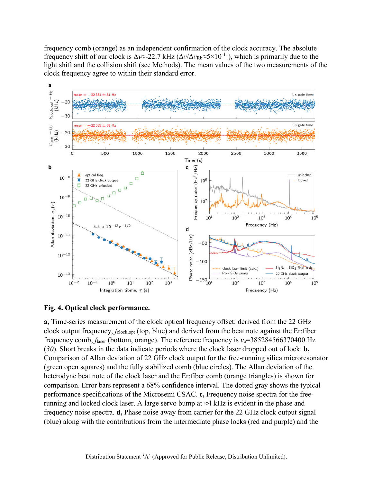frequency comb (orange) as an independent confirmation of the clock accuracy. The absolute frequency shift of our clock is  $\Delta v \approx 22.7$  kHz ( $\Delta v / \Delta v_{Rb} \approx 5 \times 10^{-11}$ ), which is primarily due to the light shift and the collision shift (see Methods). The mean values of the two measurements of the clock frequency agree to within their standard error.



# **Fig. 4. Optical clock performance.**

**a,** Time-series measurement of the clock optical frequency offset: derived from the 22 GHz clock output frequency, *f*clock,opt (top, blue) and derived from the beat note against the Er:fiber frequency comb, *f*laser (bottom, orange). The reference frequency is *ν*o=385284566370400 Hz (*30*). Short breaks in the data indicate periods where the clock laser dropped out of lock. **b,** Comparison of Allan deviation of 22 GHz clock output for the free-running silica microresonator (green open squares) and the fully stabilized comb (blue circles). The Allan deviation of the heterodyne beat note of the clock laser and the Er:fiber comb (orange triangles) is shown for comparison. Error bars represent a 68% confidence interval. The dotted gray shows the typical performance specifications of the Microsemi CSAC. **c,** Frequency noise spectra for the freerunning and locked clock laser. A large servo bump at ≈4 kHz is evident in the phase and frequency noise spectra. **d,** Phase noise away from carrier for the 22 GHz clock output signal (blue) along with the contributions from the intermediate phase locks (red and purple) and the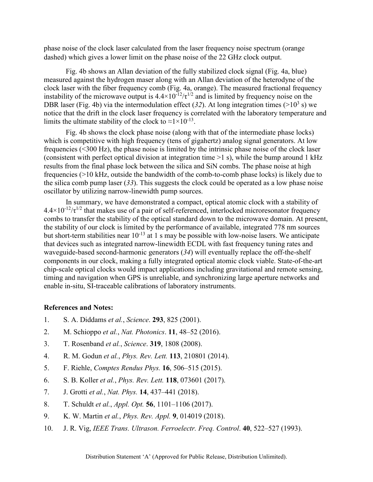phase noise of the clock laser calculated from the laser frequency noise spectrum (orange dashed) which gives a lower limit on the phase noise of the 22 GHz clock output.

Fig. 4b shows an Allan deviation of the fully stabilized clock signal (Fig. 4a, blue) measured against the hydrogen maser along with an Allan deviation of the heterodyne of the clock laser with the fiber frequency comb (Fig. 4a, orange). The measured fractional frequency instability of the microwave output is  $4.4 \times 10^{-12} / \tau^{1/2}$  and is limited by frequency noise on the DBR laser (Fig. 4b) via the intermodulation effect (32). At long integration times ( $>10^3$  s) we notice that the drift in the clock laser frequency is correlated with the laboratory temperature and limits the ultimate stability of the clock to  $\approx 1 \times 10^{-13}$ .

Fig. 4b shows the clock phase noise (along with that of the intermediate phase locks) which is competitive with high frequency (tens of gigahertz) analog signal generators. At low frequencies (<300 Hz), the phase noise is limited by the intrinsic phase noise of the clock laser (consistent with perfect optical division at integration time >1 s), while the bump around 1 kHz results from the final phase lock between the silica and SiN combs. The phase noise at high frequencies (>10 kHz, outside the bandwidth of the comb-to-comb phase locks) is likely due to the silica comb pump laser (*33*). This suggests the clock could be operated as a low phase noise oscillator by utilizing narrow-linewidth pump sources.

In summary, we have demonstrated a compact, optical atomic clock with a stability of  $4.4\times10^{-12}/\tau^{1/2}$  that makes use of a pair of self-referenced, interlocked microresonator frequency combs to transfer the stability of the optical standard down to the microwave domain. At present, the stability of our clock is limited by the performance of available, integrated 778 nm sources but short-term stabilities near  $10^{-13}$  at 1 s may be possible with low-noise lasers. We anticipate that devices such as integrated narrow-linewidth ECDL with fast frequency tuning rates and waveguide-based second-harmonic generators (*34*) will eventually replace the off-the-shelf components in our clock, making a fully integrated optical atomic clock viable. State-of-the-art chip-scale optical clocks would impact applications including gravitational and remote sensing, timing and navigation when GPS is unreliable, and synchronizing large aperture networks and enable in-situ, SI-traceable calibrations of laboratory instruments.

# **References and Notes:**

- 1. S. A. Diddams *et al.*, *Science*. **293**, 825 (2001).
- 2. M. Schioppo *et al.*, *Nat. Photonics*. **11**, 48–52 (2016).
- 3. T. Rosenband *et al.*, *Science*. **319**, 1808 (2008).
- 4. R. M. Godun *et al.*, *Phys. Rev. Lett.* **113**, 210801 (2014).
- 5. F. Riehle, *Comptes Rendus Phys.* **16**, 506–515 (2015).
- 6. S. B. Koller *et al.*, *Phys. Rev. Lett.* **118**, 073601 (2017).
- 7. J. Grotti *et al.*, *Nat. Phys.* **14**, 437–441 (2018).
- 8. T. Schuldt *et al.*, *Appl. Opt.* **56**, 1101–1106 (2017).
- 9. K. W. Martin *et al.*, *Phys. Rev. Appl.* **9**, 014019 (2018).
- 10. J. R. Vig, *IEEE Trans. Ultrason. Ferroelectr. Freq. Control*. **40**, 522–527 (1993).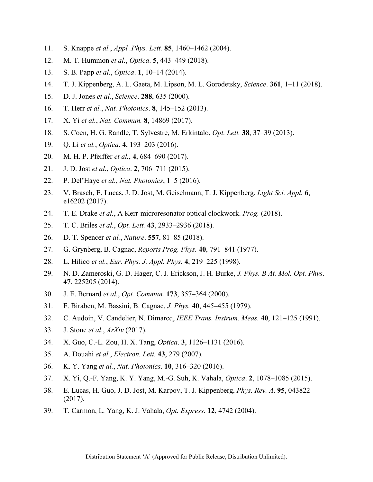- 11. S. Knappe *et al.*, *Appl .Phys. Lett.* **85**, 1460–1462 (2004).
- 12. M. T. Hummon *et al.*, *Optica*. **5**, 443–449 (2018).
- 13. S. B. Papp *et al.*, *Optica*. **1**, 10–14 (2014).
- 14. T. J. Kippenberg, A. L. Gaeta, M. Lipson, M. L. Gorodetsky, *Science*. **361**, 1–11 (2018).
- 15. D. J. Jones *et al.*, *Science*. **288**, 635 (2000).
- 16. T. Herr *et al.*, *Nat. Photonics*. **8**, 145–152 (2013).
- 17. X. Yi *et al.*, *Nat. Commun.* **8**, 14869 (2017).
- 18. S. Coen, H. G. Randle, T. Sylvestre, M. Erkintalo, *Opt. Lett.* **38**, 37–39 (2013).
- 19. Q. Li *et al.*, *Optica*. **4**, 193–203 (2016).
- 20. M. H. P. Pfeiffer *et al.*, **4**, 684–690 (2017).
- 21. J. D. Jost *et al.*, *Optica*. **2**, 706–711 (2015).
- 22. P. Del'Haye *et al.*, *Nat. Photonics*, 1–5 (2016).
- 23. V. Brasch, E. Lucas, J. D. Jost, M. Geiselmann, T. J. Kippenberg, *Light Sci. Appl.* **6**, e16202 (2017).
- 24. T. E. Drake *et al.*, A Kerr-microresonator optical clockwork. *Prog.* (2018).
- 25. T. C. Briles *et al.*, *Opt. Lett.* **43**, 2933–2936 (2018).
- 26. D. T. Spencer *et al.*, *Nature*. **557**, 81–85 (2018).
- 27. G. Grynberg, B. Cagnac, *Reports Prog. Phys.* **40**, 791–841 (1977).
- 28. L. Hilico *et al.*, *Eur. Phys. J. Appl. Phys.* **4**, 219–225 (1998).
- 29. N. D. Zameroski, G. D. Hager, C. J. Erickson, J. H. Burke, *J. Phys. B At. Mol. Opt. Phys*. **47**, 225205 (2014).
- 30. J. E. Bernard *et al.*, *Opt. Commun.* **173**, 357–364 (2000).
- 31. F. Biraben, M. Bassini, B. Cagnac, *J. Phys.* **40**, 445–455 (1979).
- 32. C. Audoin, V. Candelier, N. Dimarcq, *IEEE Trans. Instrum. Meas.* **40**, 121–125 (1991).
- 33. J. Stone *et al.*, *ArXiv* (2017).
- 34. X. Guo, C.-L. Zou, H. X. Tang, *Optica*. **3**, 1126–1131 (2016).
- 35. A. Douahi *et al.*, *Electron. Lett.* **43**, 279 (2007).
- 36. K. Y. Yang *et al.*, *Nat. Photonics*. **10**, 316–320 (2016).
- 37. X. Yi, Q.-F. Yang, K. Y. Yang, M.-G. Suh, K. Vahala, *Optica*. **2**, 1078–1085 (2015).
- 38. E. Lucas, H. Guo, J. D. Jost, M. Karpov, T. J. Kippenberg, *Phys. Rev. A*. **95**, 043822 (2017).
- 39. T. Carmon, L. Yang, K. J. Vahala, *Opt. Express*. **12**, 4742 (2004).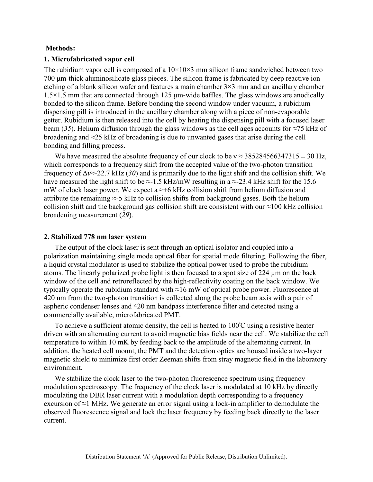# **Methods:**

#### **1. Microfabricated vapor cell**

The rubidium vapor cell is composed of a  $10\times10\times3$  mm silicon frame sandwiched between two 700 μm-thick aluminosilicate glass pieces. The silicon frame is fabricated by deep reactive ion etching of a blank silicon wafer and features a main chamber 3×3 mm and an ancillary chamber  $1.5 \times 1.5$  mm that are connected through 125  $\mu$ m-wide baffles. The glass windows are anodically bonded to the silicon frame. Before bonding the second window under vacuum, a rubidium dispensing pill is introduced in the ancillary chamber along with a piece of non-evaporable getter. Rubidium is then released into the cell by heating the dispensing pill with a focused laser beam (*35*). Helium diffusion through the glass windows as the cell ages accounts for ≈75 kHz of broadening and ≈25 kHz of broadening is due to unwanted gases that arise during the cell bonding and filling process.

We have measured the absolute frequency of our clock to be  $v \approx 385284566347315 \pm 30$  Hz, which corresponds to a frequency shift from the accepted value of the two-photon transition frequency of Δ*ν*≈-22.7 kHz (*30*) and is primarily due to the light shift and the collision shift. We have measured the light shift to be  $\approx$ -1.5 kHz/mW resulting in a  $\approx$ -23.4 kHz shift for the 15.6 mW of clock laser power. We expect a  $\approx$ +6 kHz collision shift from helium diffusion and attribute the remaining  $\approx$ -5 kHz to collision shifts from background gases. Both the helium collision shift and the background gas collision shift are consistent with our  $\approx$ 100 kHz collision broadening measurement (*29*).

#### **2. Stabilized 778 nm laser system**

The output of the clock laser is sent through an optical isolator and coupled into a polarization maintaining single mode optical fiber for spatial mode filtering. Following the fiber, a liquid crystal modulator is used to stabilize the optical power used to probe the rubidium atoms. The linearly polarized probe light is then focused to a spot size of 224 μm on the back window of the cell and retroreflected by the high-reflectivity coating on the back window. We typically operate the rubidium standard with ≈16 mW of optical probe power. Fluorescence at 420 nm from the two-photon transition is collected along the probe beam axis with a pair of aspheric condenser lenses and 420 nm bandpass interference filter and detected using a commercially available, microfabricated PMT.

To achieve a sufficient atomic density, the cell is heated to 100°C using a resistive heater driven with an alternating current to avoid magnetic bias fields near the cell. We stabilize the cell temperature to within 10 mK by feeding back to the amplitude of the alternating current. In addition, the heated cell mount, the PMT and the detection optics are housed inside a two-layer magnetic shield to minimize first order Zeeman shifts from stray magnetic field in the laboratory environment.

We stabilize the clock laser to the two-photon fluorescence spectrum using frequency modulation spectroscopy. The frequency of the clock laser is modulated at 10 kHz by directly modulating the DBR laser current with a modulation depth corresponding to a frequency excursion of ≈1 MHz. We generate an error signal using a lock-in amplifier to demodulate the observed fluorescence signal and lock the laser frequency by feeding back directly to the laser current.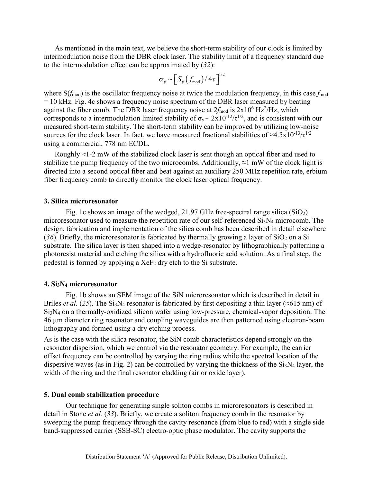As mentioned in the main text, we believe the short-term stability of our clock is limited by intermodulation noise from the DBR clock laser. The stability limit of a frequency standard due to the intermodulation effect can be approximated by (*32*):

$$
\sigma_{y} \sim \left[S_{y}\left(f_{\text{mod}}\right)/4\tau\right]^{1/2}
$$

where  $S(f_{mod})$  is the oscillator frequency noise at twice the modulation frequency, in this case  $f_{mod}$ = 10 kHz. Fig. 4c shows a frequency noise spectrum of the DBR laser measured by beating against the fiber comb. The DBR laser frequency noise at  $2f_{\text{mod}}$  is  $2 \times 10^6$  Hz<sup>2</sup>/Hz, which corresponds to a intermodulation limited stability of  $\sigma_y \sim 2x10^{-12}/\tau^{1/2}$ , and is consistent with our measured short-term stability. The short-term stability can be improved by utilizing low-noise sources for the clock laser. In fact, we have measured fractional stabilities of  $\approx 4.5 \times 10^{-13} / \tau^{1/2}$ using a commercial, 778 nm ECDL.

Roughly  $\approx$ 1-2 mW of the stabilized clock laser is sent though an optical fiber and used to stabilize the pump frequency of the two microcombs. Additionally,  $\approx$ 1 mW of the clock light is directed into a second optical fiber and beat against an auxiliary 250 MHz repetition rate, erbium fiber frequency comb to directly monitor the clock laser optical frequency.

# **3. Silica microresonator**

Fig. 1c shows an image of the wedged, 21.97 GHz free-spectral range silica  $(SiO<sub>2</sub>)$ microresonator used to measure the repetition rate of our self-referenced Si<sub>3</sub>N<sub>4</sub> microcomb. The design, fabrication and implementation of the silica comb has been described in detail elsewhere  $(36)$ . Briefly, the microresonator is fabricated by thermally growing a layer of SiO<sub>2</sub> on a Si substrate. The silica layer is then shaped into a wedge-resonator by lithographically patterning a photoresist material and etching the silica with a hydrofluoric acid solution. As a final step, the pedestal is formed by applying a  $XeF_2$  dry etch to the Si substrate.

## **4. Si3N4 microresonator**

Fig. 1b shows an SEM image of the SiN microresonator which is described in detail in Briles *et al.* (25). The Si<sub>3</sub>N<sub>4</sub> resonator is fabricated by first depositing a thin layer (≈615 nm) of Si3N4 on a thermally-oxidized silicon wafer using low-pressure, chemical-vapor deposition. The 46 μm diameter ring resonator and coupling waveguides are then patterned using electron-beam lithography and formed using a dry etching process.

As is the case with the silica resonator, the SiN comb characteristics depend strongly on the resonator dispersion, which we control via the resonator geometry. For example, the carrier offset frequency can be controlled by varying the ring radius while the spectral location of the dispersive waves (as in Fig. 2) can be controlled by varying the thickness of the  $Si<sub>3</sub>N<sub>4</sub>$  layer, the width of the ring and the final resonator cladding (air or oxide layer).

# **5. Dual comb stabilization procedure**

Our technique for generating single soliton combs in microresonators is described in detail in Stone *et al.* (*33*). Briefly, we create a soliton frequency comb in the resonator by sweeping the pump frequency through the cavity resonance (from blue to red) with a single side band-suppressed carrier (SSB-SC) electro-optic phase modulator. The cavity supports the